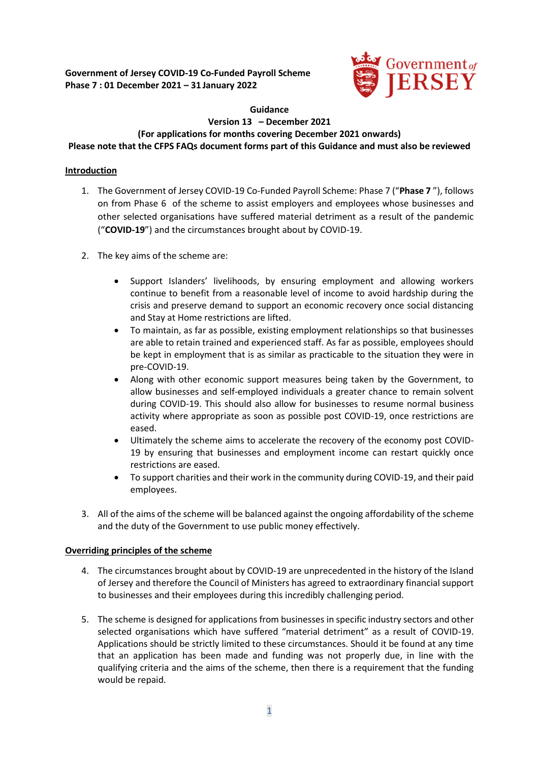

#### **Guidance Version 13 – December 2021 (For applications for months covering December 2021 onwards) Please note that the CFPS FAQs document forms part of this Guidance and must also be reviewed**

# **Introduction**

- 1. The Government of Jersey COVID-19 Co-Funded Payroll Scheme: Phase 7 ("**Phase 7** "), follows on from Phase 6 of the scheme to assist employers and employees whose businesses and other selected organisations have suffered material detriment as a result of the pandemic ("**COVID-19**") and the circumstances brought about by COVID-19.
- 2. The key aims of the scheme are:
	- Support Islanders' livelihoods, by ensuring employment and allowing workers continue to benefit from a reasonable level of income to avoid hardship during the crisis and preserve demand to support an economic recovery once social distancing and Stay at Home restrictions are lifted.
	- To maintain, as far as possible, existing employment relationships so that businesses are able to retain trained and experienced staff. As far as possible, employees should be kept in employment that is as similar as practicable to the situation they were in pre-COVID-19.
	- Along with other economic support measures being taken by the Government, to allow businesses and self-employed individuals a greater chance to remain solvent during COVID-19. This should also allow for businesses to resume normal business activity where appropriate as soon as possible post COVID-19, once restrictions are eased.
	- Ultimately the scheme aims to accelerate the recovery of the economy post COVID-19 by ensuring that businesses and employment income can restart quickly once restrictions are eased.
	- To support charities and their work in the community during COVID-19, and their paid employees.
- 3. All of the aims of the scheme will be balanced against the ongoing affordability of the scheme and the duty of the Government to use public money effectively.

# **Overriding principles of the scheme**

- 4. The circumstances brought about by COVID-19 are unprecedented in the history of the Island of Jersey and therefore the Council of Ministers has agreed to extraordinary financial support to businesses and their employees during this incredibly challenging period.
- 5. The scheme is designed for applications from businesses in specific industry sectors and other selected organisations which have suffered "material detriment" as a result of COVID-19. Applications should be strictly limited to these circumstances. Should it be found at any time that an application has been made and funding was not properly due, in line with the qualifying criteria and the aims of the scheme, then there is a requirement that the funding would be repaid.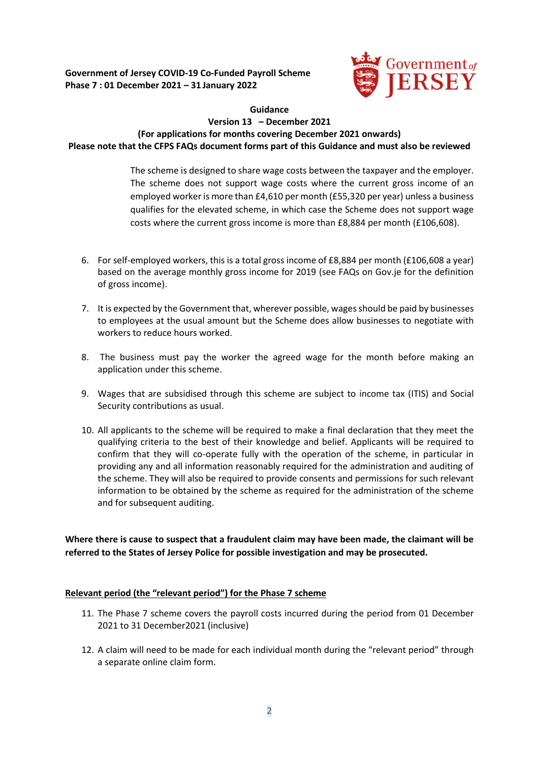

## **Guidance Version 13 – December 2021 (For applications for months covering December 2021 onwards) Please note that the CFPS FAQs document forms part of this Guidance and must also be reviewed**

The scheme is designed to share wage costs between the taxpayer and the employer. The scheme does not support wage costs where the current gross income of an employed worker is more than £4,610 per month (£55,320 per year) unless a business qualifies for the elevated scheme, in which case the Scheme does not support wage costs where the current gross income is more than £8,884 per month (£106,608).

- 6. For self-employed workers, this is a total gross income of £8,884 per month (£106,608 a year) based on the average monthly gross income for 2019 (see FAQs on Gov.je for the definition of gross income).
- 7. It is expected by the Government that, wherever possible, wages should be paid by businesses to employees at the usual amount but the Scheme does allow businesses to negotiate with workers to reduce hours worked.
- 8. The business must pay the worker the agreed wage for the month before making an application under this scheme.
- 9. Wages that are subsidised through this scheme are subject to income tax (ITIS) and Social Security contributions as usual.
- 10. All applicants to the scheme will be required to make a final declaration that they meet the qualifying criteria to the best of their knowledge and belief. Applicants will be required to confirm that they will co-operate fully with the operation of the scheme, in particular in providing any and all information reasonably required for the administration and auditing of the scheme. They will also be required to provide consents and permissions for such relevant information to be obtained by the scheme as required for the administration of the scheme and for subsequent auditing.

**Where there is cause to suspect that a fraudulent claim may have been made, the claimant will be referred to the States of Jersey Police for possible investigation and may be prosecuted.** 

# **Relevant period (the "relevant period") for the Phase 7 scheme**

- 11. The Phase 7 scheme covers the payroll costs incurred during the period from 01 December 2021 to 31 December2021 (inclusive)
- 12. A claim will need to be made for each individual month during the "relevant period" through a separate online claim form.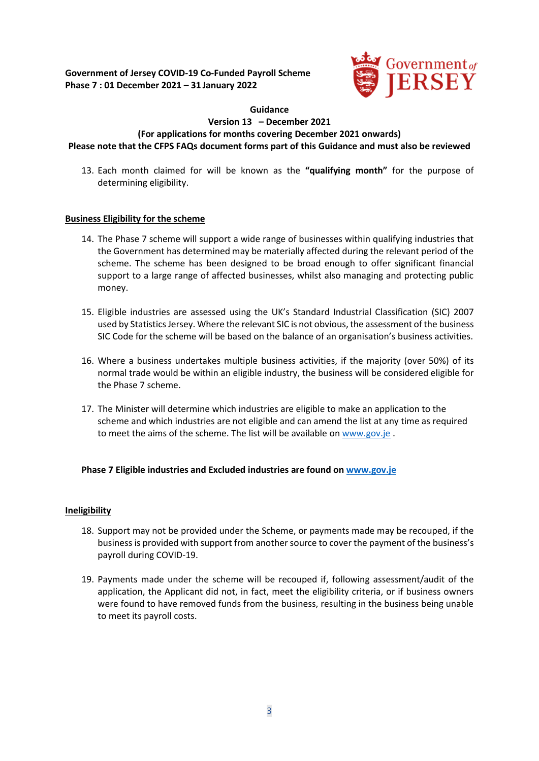

#### **Guidance**

#### **Version 13 – December 2021 (For applications for months covering December 2021 onwards) Please note that the CFPS FAQs document forms part of this Guidance and must also be reviewed**

13. Each month claimed for will be known as the **"qualifying month"** for the purpose of determining eligibility.

# **Business Eligibility for the scheme**

- 14. The Phase 7 scheme will support a wide range of businesses within qualifying industries that the Government has determined may be materially affected during the relevant period of the scheme. The scheme has been designed to be broad enough to offer significant financial support to a large range of affected businesses, whilst also managing and protecting public money.
- 15. Eligible industries are assessed using the UK's Standard Industrial Classification (SIC) 2007 used by Statistics Jersey. Where the relevant SIC is not obvious, the assessment of the business SIC Code for the scheme will be based on the balance of an organisation's business activities.
- 16. Where a business undertakes multiple business activities, if the majority (over 50%) of its normal trade would be within an eligible industry, the business will be considered eligible for the Phase 7 scheme.
- 17. The Minister will determine which industries are eligible to make an application to the scheme and which industries are not eligible and can amend the list at any time as required to meet the aims of the scheme. The list will be available on [www.gov.je](http://www.gov.je/) .

# **Phase 7 Eligible industries and Excluded industries are found o[n www.gov.je](http://www.gov.je/)**

# **Ineligibility**

- 18. Support may not be provided under the Scheme, or payments made may be recouped, if the business is provided with support from another source to cover the payment of the business's payroll during COVID-19.
- 19. Payments made under the scheme will be recouped if, following assessment/audit of the application, the Applicant did not, in fact, meet the eligibility criteria, or if business owners were found to have removed funds from the business, resulting in the business being unable to meet its payroll costs.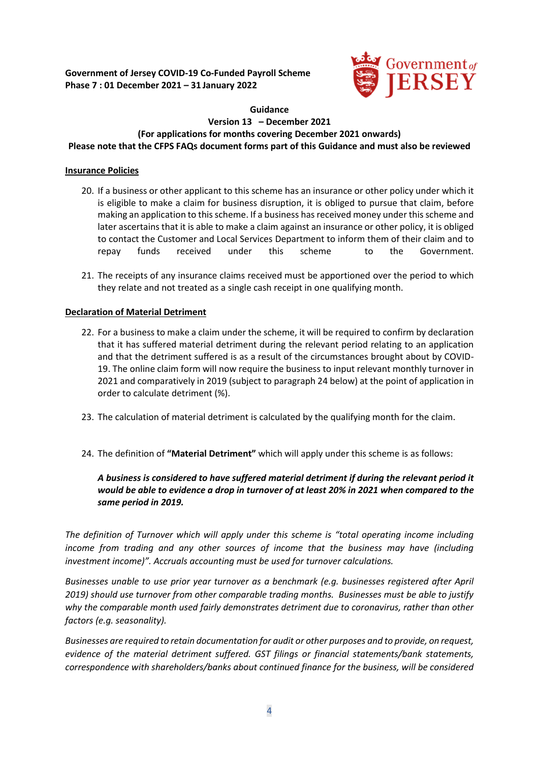

#### **Guidance Version 13 – December 2021 (For applications for months covering December 2021 onwards) Please note that the CFPS FAQs document forms part of this Guidance and must also be reviewed**

# **Insurance Policies**

- 20. If a business or other applicant to this scheme has an insurance or other policy under which it is eligible to make a claim for business disruption, it is obliged to pursue that claim, before making an application to this scheme. If a business has received money under this scheme and later ascertains that it is able to make a claim against an insurance or other policy, it is obliged to contact the Customer and Local Services Department to inform them of their claim and to repay funds received under this scheme to the Government.
- 21. The receipts of any insurance claims received must be apportioned over the period to which they relate and not treated as a single cash receipt in one qualifying month.

# **Declaration of Material Detriment**

- 22. For a business to make a claim under the scheme, it will be required to confirm by declaration that it has suffered material detriment during the relevant period relating to an application and that the detriment suffered is as a result of the circumstances brought about by COVID-19. The online claim form will now require the business to input relevant monthly turnover in 2021 and comparatively in 2019 (subject to paragraph 24 below) at the point of application in order to calculate detriment (%).
- 23. The calculation of material detriment is calculated by the qualifying month for the claim.
- 24. The definition of **"Material Detriment"** which will apply under this scheme is as follows:

# *A business is considered to have suffered material detriment if during the relevant period it would be able to evidence a drop in turnover of at least 20% in 2021 when compared to the same period in 2019.*

*The definition of Turnover which will apply under this scheme is "total operating income including*  income from trading and any other sources of income that the business may have (including *investment income)". Accruals accounting must be used for turnover calculations.* 

*Businesses unable to use prior year turnover as a benchmark (e.g. businesses registered after April 2019) should use turnover from other comparable trading months. Businesses must be able to justify why the comparable month used fairly demonstrates detriment due to coronavirus, rather than other factors (e.g. seasonality).*

*Businesses are required to retain documentation for audit or other purposes and to provide, on request, evidence of the material detriment suffered. GST filings or financial statements/bank statements, correspondence with shareholders/banks about continued finance for the business, will be considered*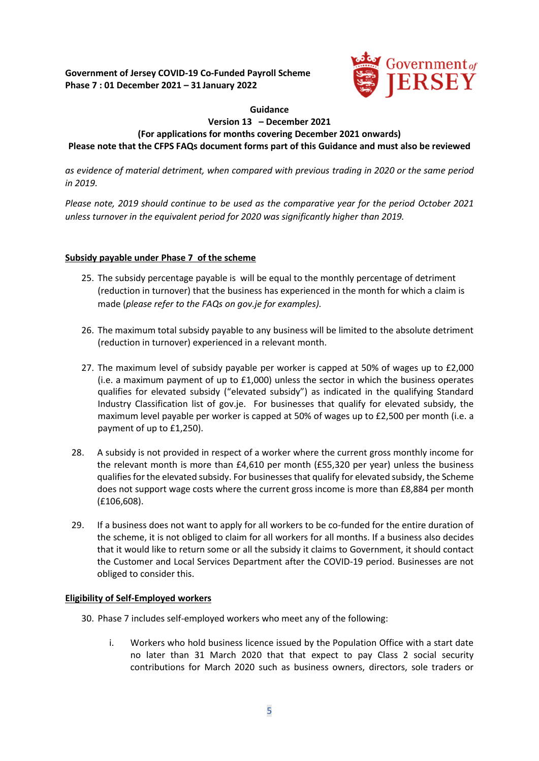

# **Guidance Version 13 – December 2021 (For applications for months covering December 2021 onwards) Please note that the CFPS FAQs document forms part of this Guidance and must also be reviewed**

*as evidence of material detriment, when compared with previous trading in 2020 or the same period in 2019.*

*Please note, 2019 should continue to be used as the comparative year for the period October 2021 unless turnover in the equivalent period for 2020 was significantly higher than 2019.*

# **Subsidy payable under Phase 7 of the scheme**

- 25. The subsidy percentage payable is will be equal to the monthly percentage of detriment (reduction in turnover) that the business has experienced in the month for which a claim is made (*please refer to the FAQs on gov.je for examples).*
- 26. The maximum total subsidy payable to any business will be limited to the absolute detriment (reduction in turnover) experienced in a relevant month.
- 27. The maximum level of subsidy payable per worker is capped at 50% of wages up to £2,000 (i.e. a maximum payment of up to  $£1,000$ ) unless the sector in which the business operates qualifies for elevated subsidy ("elevated subsidy") as indicated in the qualifying Standard Industry Classification list of gov.je. For businesses that qualify for elevated subsidy, the maximum level payable per worker is capped at 50% of wages up to £2,500 per month (i.e. a payment of up to £1,250).
- 28. A subsidy is not provided in respect of a worker where the current gross monthly income for the relevant month is more than £4,610 per month (£55,320 per year) unless the business qualifies for the elevated subsidy. For businesses that qualify for elevated subsidy, the Scheme does not support wage costs where the current gross income is more than £8,884 per month (£106,608).
- 29. If a business does not want to apply for all workers to be co-funded for the entire duration of the scheme, it is not obliged to claim for all workers for all months. If a business also decides that it would like to return some or all the subsidy it claims to Government, it should contact the Customer and Local Services Department after the COVID-19 period. Businesses are not obliged to consider this.

#### **Eligibility of Self-Employed workers**

- 30. Phase 7 includes self-employed workers who meet any of the following:
	- i. Workers who hold business licence issued by the Population Office with a start date no later than 31 March 2020 that that expect to pay Class 2 social security contributions for March 2020 such as business owners, directors, sole traders or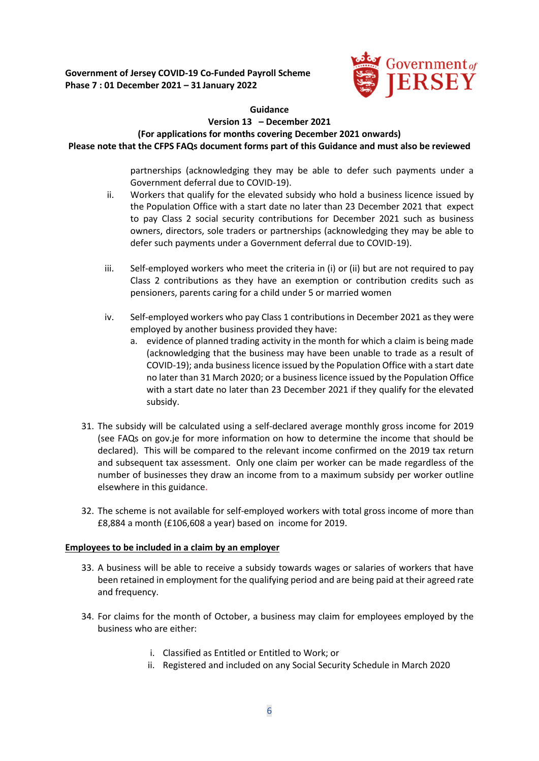

## **Guidance**

# **Version 13 – December 2021**

**(For applications for months covering December 2021 onwards)** 

**Please note that the CFPS FAQs document forms part of this Guidance and must also be reviewed**

partnerships (acknowledging they may be able to defer such payments under a Government deferral due to COVID-19).

- ii. Workers that qualify for the elevated subsidy who hold a business licence issued by the Population Office with a start date no later than 23 December 2021 that expect to pay Class 2 social security contributions for December 2021 such as business owners, directors, sole traders or partnerships (acknowledging they may be able to defer such payments under a Government deferral due to COVID-19).
- iii. Self-employed workers who meet the criteria in (i) or (ii) but are not required to pay Class 2 contributions as they have an exemption or contribution credits such as pensioners, parents caring for a child under 5 or married women
- iv. Self-employed workers who pay Class 1 contributions in December 2021 as they were employed by another business provided they have:
	- a. evidence of planned trading activity in the month for which a claim is being made (acknowledging that the business may have been unable to trade as a result of COVID-19); anda business licence issued by the Population Office with a start date no later than 31 March 2020; or a business licence issued by the Population Office with a start date no later than 23 December 2021 if they qualify for the elevated subsidy.
- 31. The subsidy will be calculated using a self-declared average monthly gross income for 2019 (see FAQs on gov.je for more information on how to determine the income that should be declared). This will be compared to the relevant income confirmed on the 2019 tax return and subsequent tax assessment. Only one claim per worker can be made regardless of the number of businesses they draw an income from to a maximum subsidy per worker outline elsewhere in this guidance.
- 32. The scheme is not available for self-employed workers with total gross income of more than £8,884 a month (£106,608 a year) based on income for 2019.

# **Employees to be included in a claim by an employer**

- 33. A business will be able to receive a subsidy towards wages or salaries of workers that have been retained in employment for the qualifying period and are being paid at their agreed rate and frequency.
- 34. For claims for the month of October, a business may claim for employees employed by the business who are either:
	- i. Classified as Entitled or Entitled to Work; or
	- ii. Registered and included on any Social Security Schedule in March 2020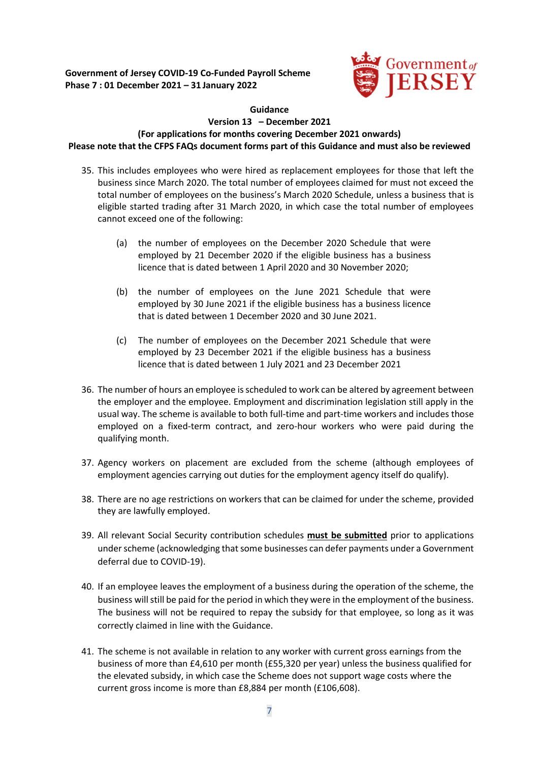

### **Guidance Version 13 – December 2021 (For applications for months covering December 2021 onwards) Please note that the CFPS FAQs document forms part of this Guidance and must also be reviewed**

- 35. This includes employees who were hired as replacement employees for those that left the business since March 2020. The total number of employees claimed for must not exceed the total number of employees on the business's March 2020 Schedule, unless a business that is eligible started trading after 31 March 2020, in which case the total number of employees cannot exceed one of the following:
	- (a) the number of employees on the December 2020 Schedule that were employed by 21 December 2020 if the eligible business has a business licence that is dated between 1 April 2020 and 30 November 2020;
	- (b) the number of employees on the June 2021 Schedule that were employed by 30 June 2021 if the eligible business has a business licence that is dated between 1 December 2020 and 30 June 2021.
	- (c) The number of employees on the December 2021 Schedule that were employed by 23 December 2021 if the eligible business has a business licence that is dated between 1 July 2021 and 23 December 2021
- 36. The number of hours an employee is scheduled to work can be altered by agreement between the employer and the employee. Employment and discrimination legislation still apply in the usual way. The scheme is available to both full-time and part-time workers and includes those employed on a fixed-term contract, and zero-hour workers who were paid during the qualifying month.
- 37. Agency workers on placement are excluded from the scheme (although employees of employment agencies carrying out duties for the employment agency itself do qualify).
- 38. There are no age restrictions on workers that can be claimed for under the scheme, provided they are lawfully employed.
- 39. All relevant Social Security contribution schedules **must be submitted** prior to applications under scheme (acknowledging that some businesses can defer payments under a Government deferral due to COVID-19).
- 40. If an employee leaves the employment of a business during the operation of the scheme, the business will still be paid for the period in which they were in the employment of the business. The business will not be required to repay the subsidy for that employee, so long as it was correctly claimed in line with the Guidance.
- 41. The scheme is not available in relation to any worker with current gross earnings from the business of more than £4,610 per month (£55,320 per year) unless the business qualified for the elevated subsidy, in which case the Scheme does not support wage costs where the current gross income is more than £8,884 per month (£106,608).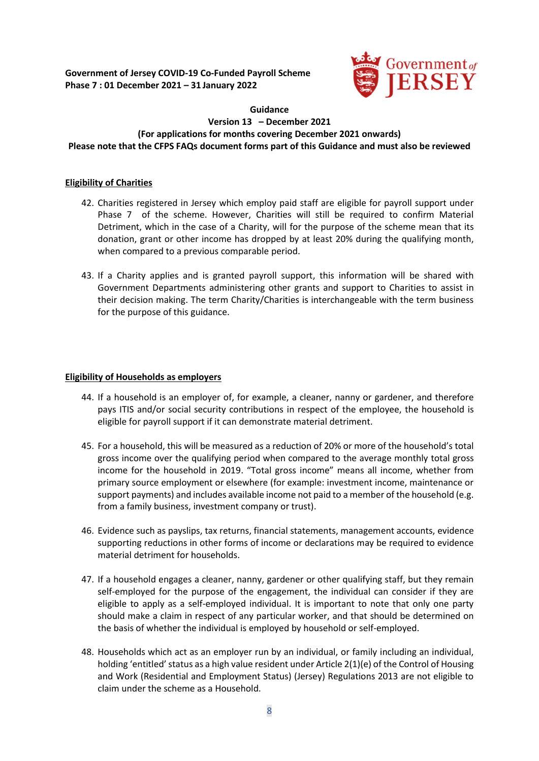

### **Guidance Version 13 – December 2021 (For applications for months covering December 2021 onwards) Please note that the CFPS FAQs document forms part of this Guidance and must also be reviewed**

### **Eligibility of Charities**

- 42. Charities registered in Jersey which employ paid staff are eligible for payroll support under Phase 7 of the scheme. However, Charities will still be required to confirm Material Detriment, which in the case of a Charity, will for the purpose of the scheme mean that its donation, grant or other income has dropped by at least 20% during the qualifying month, when compared to a previous comparable period.
- 43. If a Charity applies and is granted payroll support, this information will be shared with Government Departments administering other grants and support to Charities to assist in their decision making. The term Charity/Charities is interchangeable with the term business for the purpose of this guidance.

#### **Eligibility of Households as employers**

- 44. If a household is an employer of, for example, a cleaner, nanny or gardener, and therefore pays ITIS and/or social security contributions in respect of the employee, the household is eligible for payroll support if it can demonstrate material detriment.
- 45. For a household, this will be measured as a reduction of 20% or more of the household's total gross income over the qualifying period when compared to the average monthly total gross income for the household in 2019. "Total gross income" means all income, whether from primary source employment or elsewhere (for example: investment income, maintenance or support payments) and includes available income not paid to a member of the household (e.g. from a family business, investment company or trust).
- 46. Evidence such as payslips, tax returns, financial statements, management accounts, evidence supporting reductions in other forms of income or declarations may be required to evidence material detriment for households.
- 47. If a household engages a cleaner, nanny, gardener or other qualifying staff, but they remain self-employed for the purpose of the engagement, the individual can consider if they are eligible to apply as a self-employed individual. It is important to note that only one party should make a claim in respect of any particular worker, and that should be determined on the basis of whether the individual is employed by household or self-employed.
- 48. Households which act as an employer run by an individual, or family including an individual, holding 'entitled' status as a high value resident under Article 2(1)(e) of the Control of Housing and Work (Residential and Employment Status) (Jersey) Regulations 2013 are not eligible to claim under the scheme as a Household.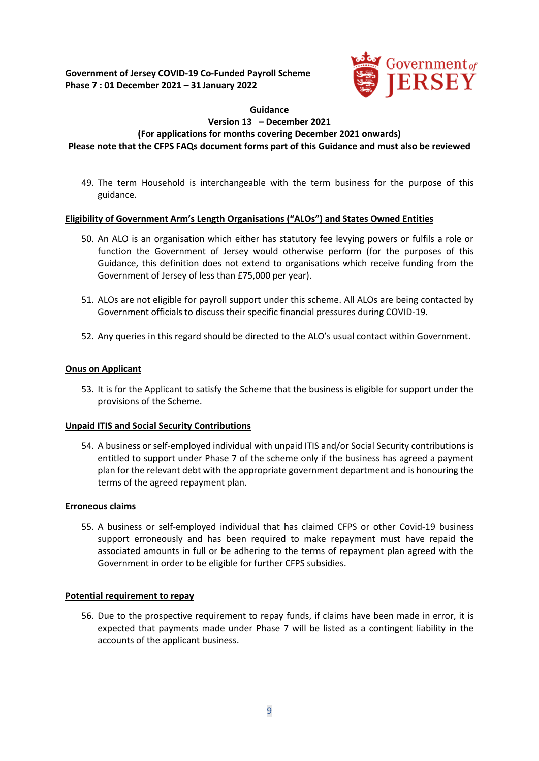

**Guidance**

#### **Version 13 – December 2021 (For applications for months covering December 2021 onwards)**

**Please note that the CFPS FAQs document forms part of this Guidance and must also be reviewed**

49. The term Household is interchangeable with the term business for the purpose of this guidance.

# **Eligibility of Government Arm's Length Organisations ("ALOs") and States Owned Entities**

- 50. An ALO is an organisation which either has statutory fee levying powers or fulfils a role or function the Government of Jersey would otherwise perform (for the purposes of this Guidance, this definition does not extend to organisations which receive funding from the Government of Jersey of less than £75,000 per year).
- 51. ALOs are not eligible for payroll support under this scheme. All ALOs are being contacted by Government officials to discuss their specific financial pressures during COVID-19.
- 52. Any queries in this regard should be directed to the ALO's usual contact within Government.

# **Onus on Applicant**

53. It is for the Applicant to satisfy the Scheme that the business is eligible for support under the provisions of the Scheme.

# **Unpaid ITIS and Social Security Contributions**

54. A business or self-employed individual with unpaid ITIS and/or Social Security contributions is entitled to support under Phase 7 of the scheme only if the business has agreed a payment plan for the relevant debt with the appropriate government department and is honouring the terms of the agreed repayment plan.

#### **Erroneous claims**

55. A business or self-employed individual that has claimed CFPS or other Covid-19 business support erroneously and has been required to make repayment must have repaid the associated amounts in full or be adhering to the terms of repayment plan agreed with the Government in order to be eligible for further CFPS subsidies.

#### **Potential requirement to repay**

56. Due to the prospective requirement to repay funds, if claims have been made in error, it is expected that payments made under Phase 7 will be listed as a contingent liability in the accounts of the applicant business.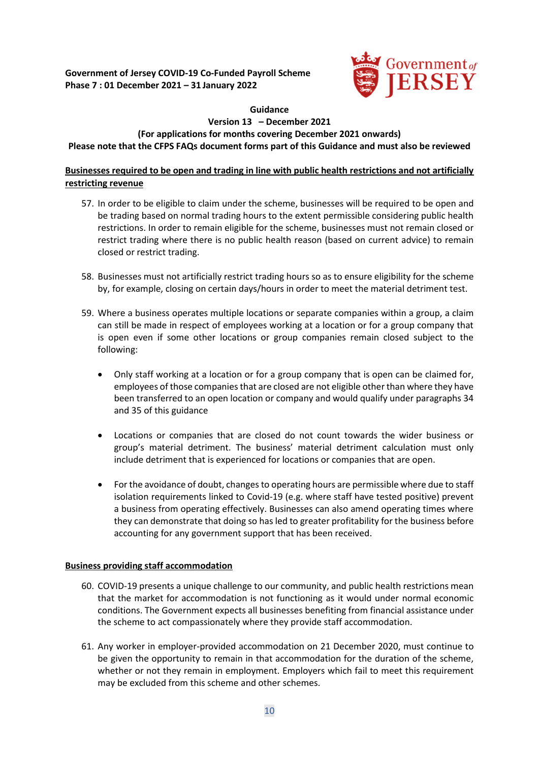

# **Guidance**

# **Version 13 – December 2021**

#### **(For applications for months covering December 2021 onwards)**

**Please note that the CFPS FAQs document forms part of this Guidance and must also be reviewed**

# **Businesses required to be open and trading in line with public health restrictions and not artificially restricting revenue**

- 57. In order to be eligible to claim under the scheme, businesses will be required to be open and be trading based on normal trading hours to the extent permissible considering public health restrictions. In order to remain eligible for the scheme, businesses must not remain closed or restrict trading where there is no public health reason (based on current advice) to remain closed or restrict trading.
- 58. Businesses must not artificially restrict trading hours so as to ensure eligibility for the scheme by, for example, closing on certain days/hours in order to meet the material detriment test.
- 59. Where a business operates multiple locations or separate companies within a group, a claim can still be made in respect of employees working at a location or for a group company that is open even if some other locations or group companies remain closed subject to the following:
	- Only staff working at a location or for a group company that is open can be claimed for, employees of those companies that are closed are not eligible other than where they have been transferred to an open location or company and would qualify under paragraphs 34 and 35 of this guidance
	- Locations or companies that are closed do not count towards the wider business or group's material detriment. The business' material detriment calculation must only include detriment that is experienced for locations or companies that are open.
	- For the avoidance of doubt, changes to operating hours are permissible where due to staff isolation requirements linked to Covid-19 (e.g. where staff have tested positive) prevent a business from operating effectively. Businesses can also amend operating times where they can demonstrate that doing so has led to greater profitability for the business before accounting for any government support that has been received.

# **Business providing staff accommodation**

- 60. COVID-19 presents a unique challenge to our community, and public health restrictions mean that the market for accommodation is not functioning as it would under normal economic conditions. The Government expects all businesses benefiting from financial assistance under the scheme to act compassionately where they provide staff accommodation.
- 61. Any worker in employer-provided accommodation on 21 December 2020, must continue to be given the opportunity to remain in that accommodation for the duration of the scheme, whether or not they remain in employment. Employers which fail to meet this requirement may be excluded from this scheme and other schemes.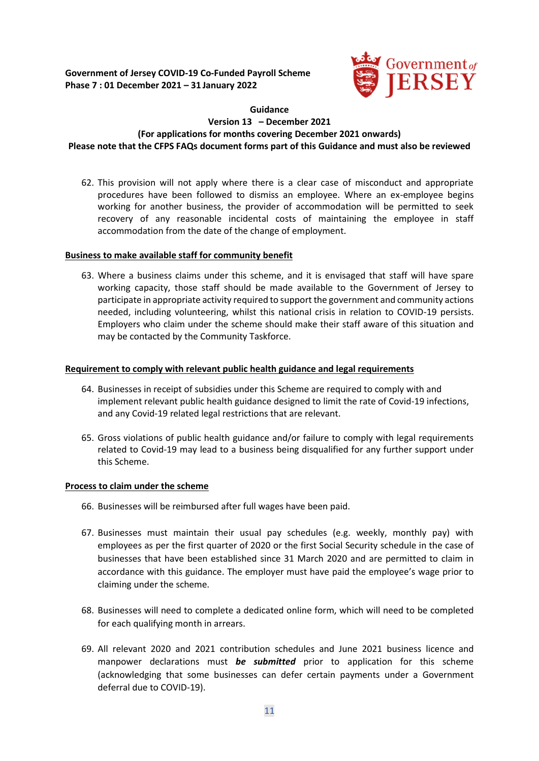

## **Guidance Version 13 – December 2021 (For applications for months covering December 2021 onwards) Please note that the CFPS FAQs document forms part of this Guidance and must also be reviewed**

62. This provision will not apply where there is a clear case of misconduct and appropriate procedures have been followed to dismiss an employee. Where an ex-employee begins working for another business, the provider of accommodation will be permitted to seek recovery of any reasonable incidental costs of maintaining the employee in staff accommodation from the date of the change of employment.

#### **Business to make available staff for community benefit**

63. Where a business claims under this scheme, and it is envisaged that staff will have spare working capacity, those staff should be made available to the Government of Jersey to participate in appropriate activity required to support the government and community actions needed, including volunteering, whilst this national crisis in relation to COVID-19 persists. Employers who claim under the scheme should make their staff aware of this situation and may be contacted by the Community Taskforce.

### **Requirement to comply with relevant public health guidance and legal requirements**

- 64. Businesses in receipt of subsidies under this Scheme are required to comply with and implement relevant public health guidance designed to limit the rate of Covid-19 infections, and any Covid-19 related legal restrictions that are relevant.
- 65. Gross violations of public health guidance and/or failure to comply with legal requirements related to Covid-19 may lead to a business being disqualified for any further support under this Scheme.

#### **Process to claim under the scheme**

- 66. Businesses will be reimbursed after full wages have been paid.
- 67. Businesses must maintain their usual pay schedules (e.g. weekly, monthly pay) with employees as per the first quarter of 2020 or the first Social Security schedule in the case of businesses that have been established since 31 March 2020 and are permitted to claim in accordance with this guidance. The employer must have paid the employee's wage prior to claiming under the scheme.
- 68. Businesses will need to complete a dedicated online form, which will need to be completed for each qualifying month in arrears.
- 69. All relevant 2020 and 2021 contribution schedules and June 2021 business licence and manpower declarations must *be submitted* prior to application for this scheme (acknowledging that some businesses can defer certain payments under a Government deferral due to COVID-19).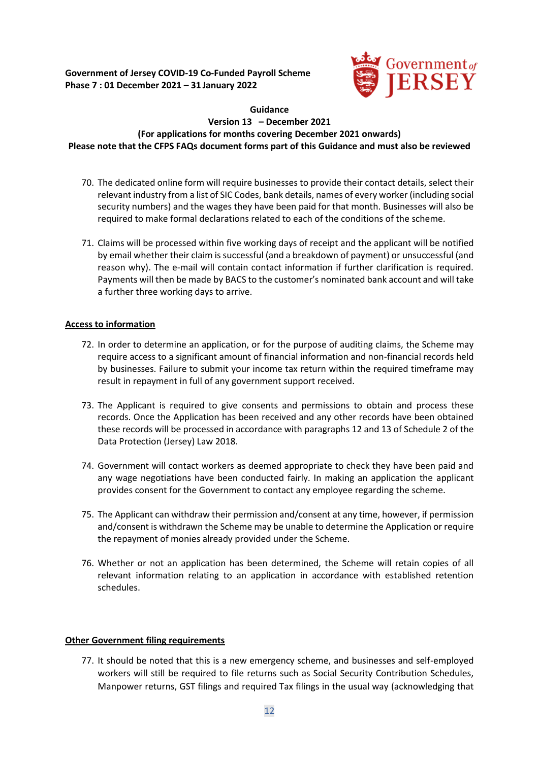

## **Guidance Version 13 – December 2021 (For applications for months covering December 2021 onwards) Please note that the CFPS FAQs document forms part of this Guidance and must also be reviewed**

- 70. The dedicated online form will require businesses to provide their contact details, select their relevant industry from a list of SIC Codes, bank details, names of every worker (including social security numbers) and the wages they have been paid for that month. Businesses will also be required to make formal declarations related to each of the conditions of the scheme.
- 71. Claims will be processed within five working days of receipt and the applicant will be notified by email whether their claim is successful (and a breakdown of payment) or unsuccessful (and reason why). The e-mail will contain contact information if further clarification is required. Payments will then be made by BACS to the customer's nominated bank account and will take a further three working days to arrive.

# **Access to information**

- 72. In order to determine an application, or for the purpose of auditing claims, the Scheme may require access to a significant amount of financial information and non-financial records held by businesses. Failure to submit your income tax return within the required timeframe may result in repayment in full of any government support received.
- 73. The Applicant is required to give consents and permissions to obtain and process these records. Once the Application has been received and any other records have been obtained these records will be processed in accordance with paragraphs 12 and 13 of Schedule 2 of the Data Protection (Jersey) Law 2018.
- 74. Government will contact workers as deemed appropriate to check they have been paid and any wage negotiations have been conducted fairly. In making an application the applicant provides consent for the Government to contact any employee regarding the scheme.
- 75. The Applicant can withdraw their permission and/consent at any time, however, if permission and/consent is withdrawn the Scheme may be unable to determine the Application or require the repayment of monies already provided under the Scheme.
- 76. Whether or not an application has been determined, the Scheme will retain copies of all relevant information relating to an application in accordance with established retention schedules.

# **Other Government filing requirements**

77. It should be noted that this is a new emergency scheme, and businesses and self-employed workers will still be required to file returns such as Social Security Contribution Schedules, Manpower returns, GST filings and required Tax filings in the usual way (acknowledging that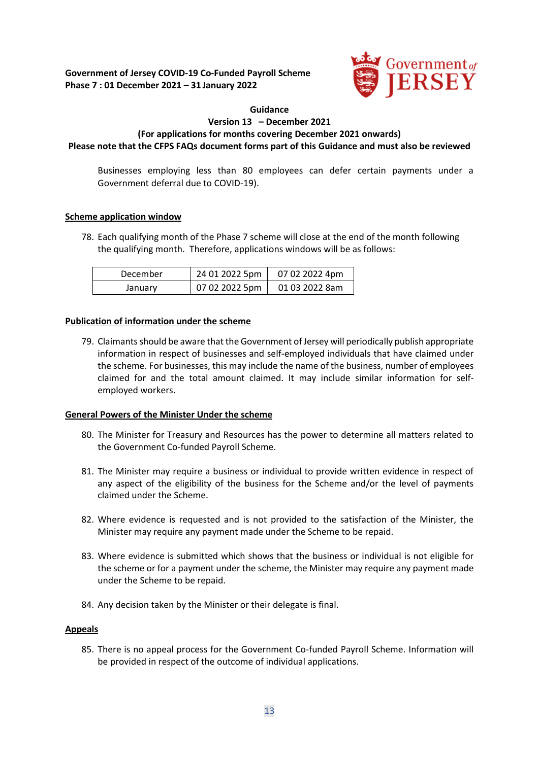

#### **Guidance**

## **Version 13 – December 2021 (For applications for months covering December 2021 onwards) Please note that the CFPS FAQs document forms part of this Guidance and must also be reviewed**

Businesses employing less than 80 employees can defer certain payments under a Government deferral due to COVID-19).

# **Scheme application window**

78. Each qualifying month of the Phase 7 scheme will close at the end of the month following the qualifying month. Therefore, applications windows will be as follows:

| December | 24 01 2022 5pm | 07 02 2022 4pm |
|----------|----------------|----------------|
| January  | 07 02 2022 5pm | 01 03 2022 8am |

### **Publication of information under the scheme**

79. Claimants should be aware that the Government of Jersey will periodically publish appropriate information in respect of businesses and self-employed individuals that have claimed under the scheme. For businesses, this may include the name of the business, number of employees claimed for and the total amount claimed. It may include similar information for selfemployed workers.

#### **General Powers of the Minister Under the scheme**

- 80. The Minister for Treasury and Resources has the power to determine all matters related to the Government Co-funded Payroll Scheme.
- 81. The Minister may require a business or individual to provide written evidence in respect of any aspect of the eligibility of the business for the Scheme and/or the level of payments claimed under the Scheme.
- 82. Where evidence is requested and is not provided to the satisfaction of the Minister, the Minister may require any payment made under the Scheme to be repaid.
- 83. Where evidence is submitted which shows that the business or individual is not eligible for the scheme or for a payment under the scheme, the Minister may require any payment made under the Scheme to be repaid.
- 84. Any decision taken by the Minister or their delegate is final.

#### **Appeals**

85. There is no appeal process for the Government Co-funded Payroll Scheme. Information will be provided in respect of the outcome of individual applications.